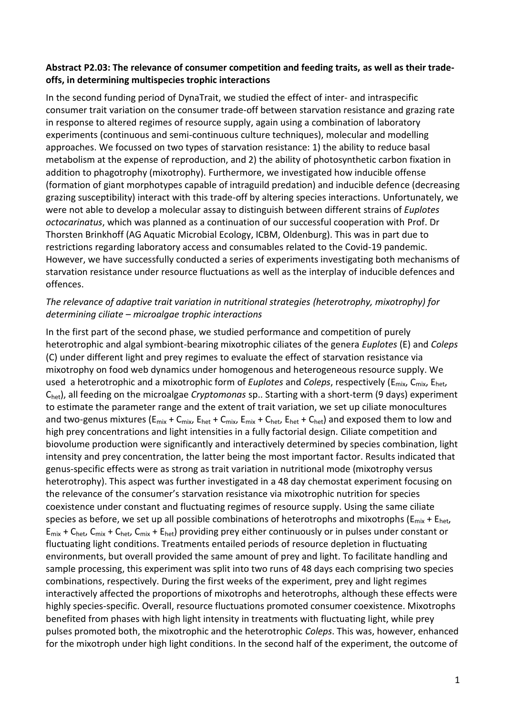## **Abstract P2.03: The relevance of consumer competition and feeding traits, as well as their tradeoffs, in determining multispecies trophic interactions**

In the second funding period of DynaTrait, we studied the effect of inter- and intraspecific consumer trait variation on the consumer trade-off between starvation resistance and grazing rate in response to altered regimes of resource supply, again using a combination of laboratory experiments (continuous and semi-continuous culture techniques), molecular and modelling approaches. We focussed on two types of starvation resistance: 1) the ability to reduce basal metabolism at the expense of reproduction, and 2) the ability of photosynthetic carbon fixation in addition to phagotrophy (mixotrophy). Furthermore, we investigated how inducible offense (formation of giant morphotypes capable of intraguild predation) and inducible defence (decreasing grazing susceptibility) interact with this trade-off by altering species interactions. Unfortunately, we were not able to develop a molecular assay to distinguish between different strains of *Euplotes octocarinatus*, which was planned as a continuation of our successful cooperation with Prof. Dr Thorsten Brinkhoff (AG Aquatic Microbial Ecology, ICBM, Oldenburg). This was in part due to restrictions regarding laboratory access and consumables related to the Covid-19 pandemic. However, we have successfully conducted a series of experiments investigating both mechanisms of starvation resistance under resource fluctuations as well as the interplay of inducible defences and offences.

## *The relevance of adaptive trait variation in nutritional strategies (heterotrophy, mixotrophy) for determining ciliate – microalgae trophic interactions*

In the first part of the second phase, we studied performance and competition of purely heterotrophic and algal symbiont-bearing mixotrophic ciliates of the genera *Euplotes* (E) and *Coleps* (C) under different light and prey regimes to evaluate the effect of starvation resistance via mixotrophy on food web dynamics under homogenous and heterogeneous resource supply. We used a heterotrophic and a mixotrophic form of *Euplotes* and *Coleps*, respectively (Emix, Cmix, Ehet, Chet), all feeding on the microalgae *Cryptomonas* sp.. Starting with a short-term (9 days) experiment to estimate the parameter range and the extent of trait variation, we set up ciliate monocultures and two-genus mixtures ( $E_{mix} + C_{mix}$ ,  $E_{het} + C_{mix}$ ,  $E_{mix} + C_{het}$ ,  $E_{het} + C_{het}$ ) and exposed them to low and high prey concentrations and light intensities in a fully factorial design. Ciliate competition and biovolume production were significantly and interactively determined by species combination, light intensity and prey concentration, the latter being the most important factor. Results indicated that genus-specific effects were as strong as trait variation in nutritional mode (mixotrophy versus heterotrophy). This aspect was further investigated in a 48 day chemostat experiment focusing on the relevance of the consumer's starvation resistance via mixotrophic nutrition for species coexistence under constant and fluctuating regimes of resource supply. Using the same ciliate species as before, we set up all possible combinations of heterotrophs and mixotrophs ( $E_{mix} + E_{het}$ ,  $E_{mix}$  + C<sub>het</sub>, C<sub>mix</sub> + C<sub>het</sub>, C<sub>mix</sub> + E<sub>het</sub>) providing prey either continuously or in pulses under constant or fluctuating light conditions. Treatments entailed periods of resource depletion in fluctuating environments, but overall provided the same amount of prey and light. To facilitate handling and sample processing, this experiment was split into two runs of 48 days each comprising two species combinations, respectively. During the first weeks of the experiment, prey and light regimes interactively affected the proportions of mixotrophs and heterotrophs, although these effects were highly species-specific. Overall, resource fluctuations promoted consumer coexistence. Mixotrophs benefited from phases with high light intensity in treatments with fluctuating light, while prey pulses promoted both, the mixotrophic and the heterotrophic *Coleps*. This was, however, enhanced for the mixotroph under high light conditions. In the second half of the experiment, the outcome of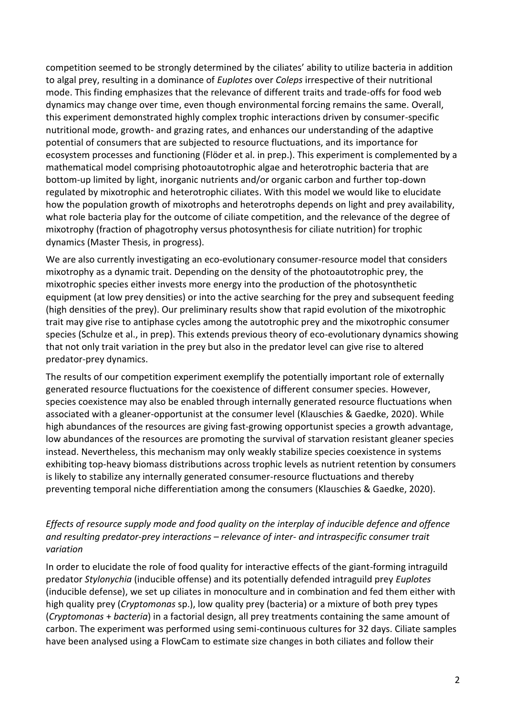competition seemed to be strongly determined by the ciliates' ability to utilize bacteria in addition to algal prey, resulting in a dominance of *Euplotes* over *Coleps* irrespective of their nutritional mode. This finding emphasizes that the relevance of different traits and trade-offs for food web dynamics may change over time, even though environmental forcing remains the same. Overall, this experiment demonstrated highly complex trophic interactions driven by consumer-specific nutritional mode, growth- and grazing rates, and enhances our understanding of the adaptive potential of consumers that are subjected to resource fluctuations, and its importance for ecosystem processes and functioning (Flöder et al. in prep.). This experiment is complemented by a mathematical model comprising photoautotrophic algae and heterotrophic bacteria that are bottom-up limited by light, inorganic nutrients and/or organic carbon and further top-down regulated by mixotrophic and heterotrophic ciliates. With this model we would like to elucidate how the population growth of mixotrophs and heterotrophs depends on light and prey availability, what role bacteria play for the outcome of ciliate competition, and the relevance of the degree of mixotrophy (fraction of phagotrophy versus photosynthesis for ciliate nutrition) for trophic dynamics (Master Thesis, in progress).

We are also currently investigating an eco-evolutionary consumer-resource model that considers mixotrophy as a dynamic trait. Depending on the density of the photoautotrophic prey, the mixotrophic species either invests more energy into the production of the photosynthetic equipment (at low prey densities) or into the active searching for the prey and subsequent feeding (high densities of the prey). Our preliminary results show that rapid evolution of the mixotrophic trait may give rise to antiphase cycles among the autotrophic prey and the mixotrophic consumer species (Schulze et al., in prep). This extends previous theory of eco-evolutionary dynamics showing that not only trait variation in the prey but also in the predator level can give rise to altered predator-prey dynamics.

The results of our competition experiment exemplify the potentially important role of externally generated resource fluctuations for the coexistence of different consumer species. However, species coexistence may also be enabled through internally generated resource fluctuations when associated with a gleaner-opportunist at the consumer level (Klauschies & Gaedke, 2020). While high abundances of the resources are giving fast-growing opportunist species a growth advantage, low abundances of the resources are promoting the survival of starvation resistant gleaner species instead. Nevertheless, this mechanism may only weakly stabilize species coexistence in systems exhibiting top-heavy biomass distributions across trophic levels as nutrient retention by consumers is likely to stabilize any internally generated consumer-resource fluctuations and thereby preventing temporal niche differentiation among the consumers (Klauschies & Gaedke, 2020).

## *Effects of resource supply mode and food quality on the interplay of inducible defence and offence and resulting predator-prey interactions – relevance of inter- and intraspecific consumer trait variation*

In order to elucidate the role of food quality for interactive effects of the giant-forming intraguild predator *Stylonychia* (inducible offense) and its potentially defended intraguild prey *Euplotes* (inducible defense), we set up ciliates in monoculture and in combination and fed them either with high quality prey (*Cryptomonas* sp.), low quality prey (bacteria) or a mixture of both prey types (*Cryptomonas* + *bacteria*) in a factorial design, all prey treatments containing the same amount of carbon. The experiment was performed using semi-continuous cultures for 32 days. Ciliate samples have been analysed using a FlowCam to estimate size changes in both ciliates and follow their